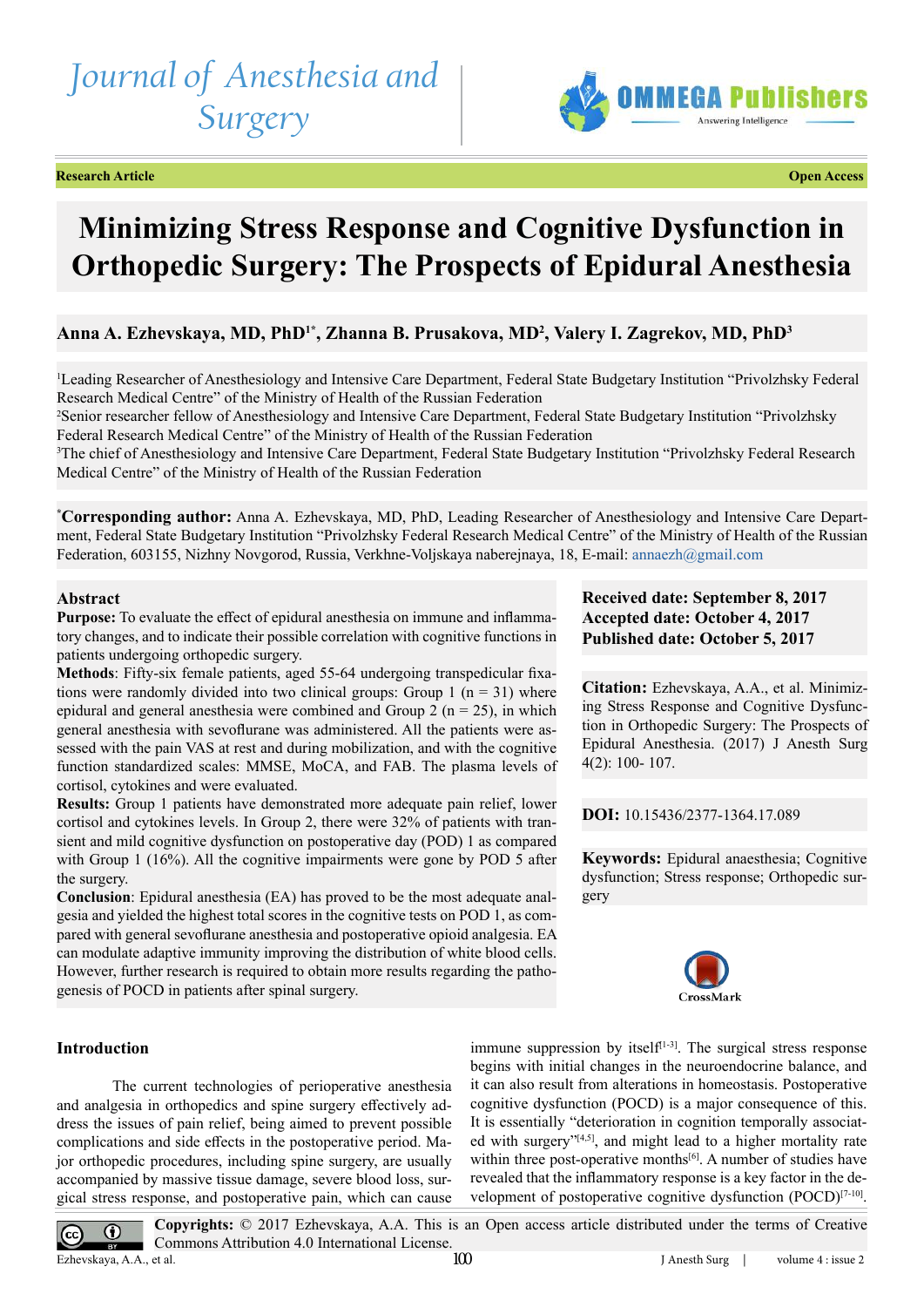# *Journal of Anesthesia and Surgery*

**Research Article Open Access**



## **Minimizing Stress Response and Cognitive Dysfunction in Orthopedic Surgery: The Prospects of Epidural Anesthesia**

### Anna A. Ezhevskaya, MD, PhD<sup>1\*</sup>, Zhanna B. Prusakova, MD<sup>2</sup>, Valery I. Zagrekov, MD, PhD<sup>3</sup>

1 Leading Researcher of Anesthesiology and Intensive Care Department, Federal State Budgetary Institution "Privolzhsky Federal Research Medical Centre" of the Ministry of Health of the Russian Federation

2 Senior researcher fellow of Anesthesiology and Intensive Care Department, Federal State Budgetary Institution "Privolzhsky Federal Research Medical Centre" of the Ministry of Health of the Russian Federation

3 The chief of Anesthesiology and Intensive Care Department, Federal State Budgetary Institution "Privolzhsky Federal Research Medical Centre" of the Ministry of Health of the Russian Federation

**\* Corresponding author:** Anna A. Ezhevskaya, MD, PhD, Leading Researcher of Anesthesiology and Intensive Care Department, Federal State Budgetary Institution "Privolzhsky Federal Research Medical Centre" of the Ministry of Health of the Russian Federation, 603155, Nizhny Novgorod, Russia, Verkhne-Voljskaya naberejnaya, 18, E-mail: [annaezh@gmail.com](mailto:annaezh@gmail.com)

#### **Abstract**

**Purpose:** To evaluate the effect of epidural anesthesia on immune and inflammatory changes, and to indicate their possible correlation with cognitive functions in patients undergoing orthopedic surgery.

**Methods**: Fifty-six female patients, aged 55-64 undergoing transpedicular fixations were randomly divided into two clinical groups: Group 1 ( $n = 31$ ) where epidural and general anesthesia were combined and Group 2 ( $n = 25$ ), in which general anesthesia with sevoflurane was administered. All the patients were assessed with the pain VAS at rest and during mobilization, and with the cognitive function standardized scales: MMSE, MoCA, and FAB. The plasma levels of cortisol, cytokines and were evaluated.

**Results:** Group 1 patients have demonstrated more adequate pain relief, lower cortisol and cytokines levels. In Group 2, there were 32% of patients with transient and mild cognitive dysfunction on postoperative day (POD) 1 as compared with Group 1 (16%). All the cognitive impairments were gone by POD 5 after the surgery.

**Conclusion**: Epidural anesthesia (EA) has proved to be the most adequate analgesia and yielded the highest total scores in the cognitive tests on POD 1, as compared with general sevoflurane anesthesia and postoperative opioid analgesia. EA can modulate adaptive immunity improving the distribution of white blood cells. However, further research is required to obtain more results regarding the pathogenesis of POCD in patients after spinal surgery.

#### **Introduction**

The current technologies of perioperative anesthesia and analgesia in orthopedics and spine surgery effectively address the issues of pain relief, being aimed to prevent possible complications and side effects in the postoperative period. Major orthopedic procedures, including spine surgery, are usually accompanied by massive tissue damage, severe blood loss, surgical stress response, and postoperative pain, which can cause

**Received date: September 8, 2017 Accepted date: October 4, 2017 Published date: October 5, 2017**

**Citation:** Ezhevskaya, A.A., et al. Minimizing Stress Response and Cognitive Dysfunction in Orthopedic Surgery: The Prospects of Epidural Anesthesia. (2017) J Anesth Surg 4(2): 100- 107.

**DOI:** [10.15436/2377-1364.17.0](https://doi.org/10.15436/2377-1364.17.089)89

**Keywords:** Epidural anaesthesia; Cognitive dysfunction; Stress response; Orthopedic surgery



immune suppression by itsel $f<sup>[1-3]</sup>$  $f<sup>[1-3]</sup>$  $f<sup>[1-3]</sup>$ . The surgical stress response begins with initial changes in the neuroendocrine balance, and it can also result from alterations in homeostasis. Postoperative cognitive dysfunction (POCD) is a major consequence of this. It is essentially "deterioration in cognition temporally associat-ed with surgery"<sup>[\[4,5\]](#page-7-1)</sup>, and might lead to a higher mortality rate within three post-operative months<sup>[6]</sup>. A number of studies have revealed that the inflammatory response is a key factor in the de-velopment of postoperative cognitive dysfunction (POCD)<sup>[\[7-10\]](#page-7-3)</sup>.

**Copyrights:** © 2017 Ezhevskaya, A.A. This is an Open access article distributed under the terms of Creative  $\bf{0}$ Commons Attribution 4.0 International License. Ezhevskaya, A.A., et al.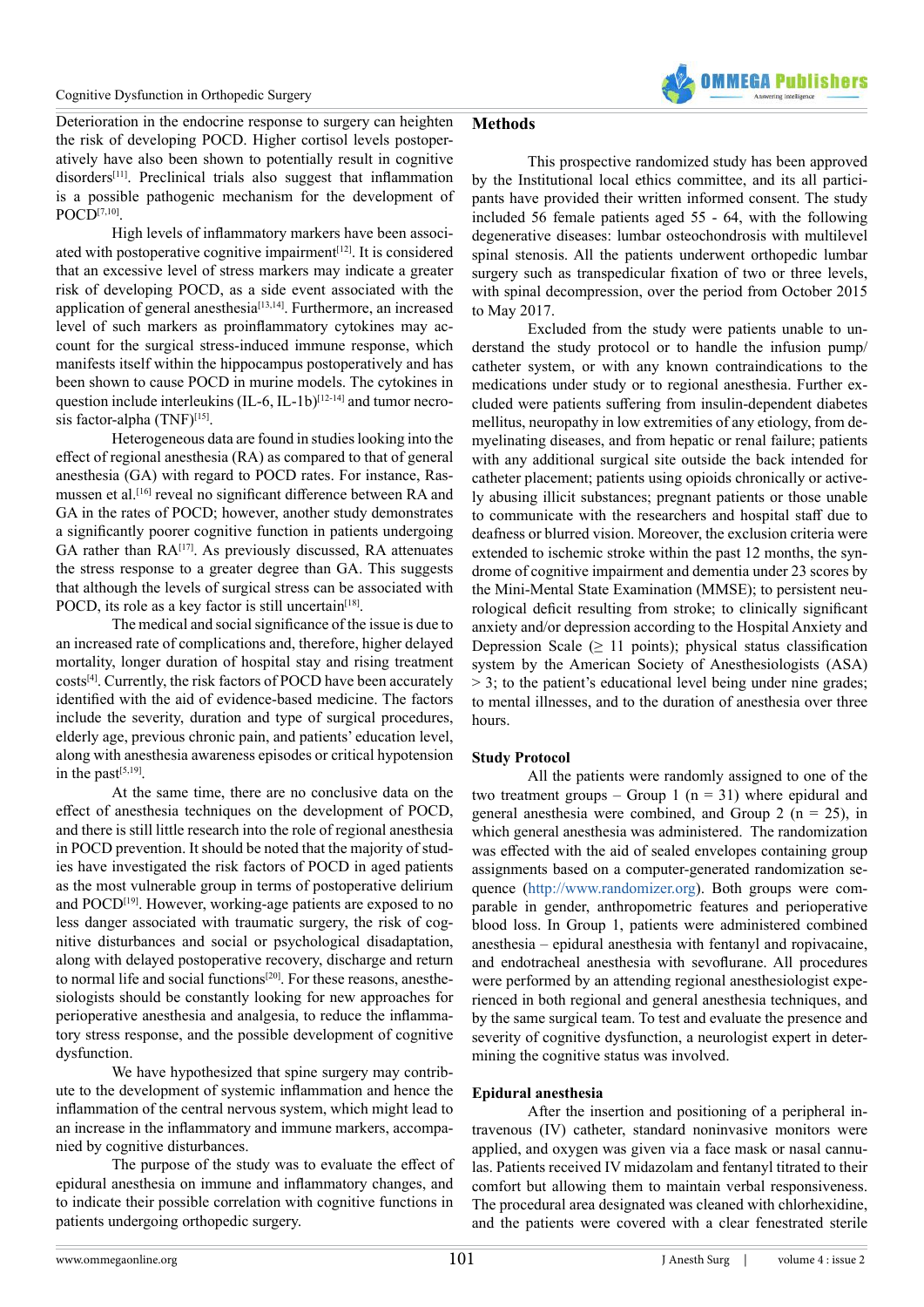

Deterioration in the endocrine response to surgery can heighten the risk of developing POCD. Higher cortisol levels postoperatively have also been shown to potentially result in cognitive disorders<sup>[\[11\]](#page-7-4)</sup>. Preclinical trials also suggest that inflammation is a possible pathogenic mechanism for the development of POCD[\[7,10\]](#page-7-3).

High levels of inflammatory markers have been associ-ated with postoperative cognitive impairment<sup>[\[12\]](#page-7-5)</sup>. It is considered that an excessive level of stress markers may indicate a greater risk of developing POCD, as a side event associated with the application of general anesthesia<sup>[\[13,14\]](#page-7-6)</sup>. Furthermore, an increased level of such markers as proinflammatory cytokines may account for the surgical stress-induced immune response, which manifests itself within the hippocampus postoperatively and has been shown to cause POCD in murine models. The cytokines in question include interleukins (IL-6, IL-1b)<sup>[\[12-14\]](#page-7-5)</sup> and tumor necro-sis factor-alpha (TNF[\)\[15\].](#page-7-7)

Heterogeneous data are found in studies looking into the effect of regional anesthesia (RA) as compared to that of general anesthesia (GA) with regard to POCD rates. For instance, Rasmussen et al.[\[16\]](#page-7-8) reveal no significant difference between RA and GA in the rates of POCD; however, another study demonstrates a significantly poorer cognitive function in patients undergoing GA rather than RA<sup>[\[17\]](#page-7-9)</sup>. As previously discussed, RA attenuates the stress response to a greater degree than GA. This suggests that although the levels of surgical stress can be associated with POCD, its role as a key factor is still uncertain<sup>[18]</sup>.

The medical and social significance of the issue is due to an increased rate of complications and, therefore, higher delayed mortality, longer duration of hospital stay and rising treatment costs[\[4\].](#page-7-1) Currently, the risk factors of POCD have been accurately identified with the aid of evidence-based medicine. The factors include the severity, duration and type of surgical procedures, elderly age, previous chronic pain, and patients' education level, along with anesthesia awareness episodes or critical hypotension in the past $[5,19]$ .

At the same time, there are no conclusive data on the effect of anesthesia techniques on the development of POCD, and there is still little research into the role of regional anesthesia in POCD prevention. It should be noted that the majority of studies have investigated the risk factors of POCD in aged patients as the most vulnerable group in terms of postoperative delirium and POCD<sup>[\[19\]](#page-7-12)</sup>. However, working-age patients are exposed to no less danger associated with traumatic surgery, the risk of cognitive disturbances and social or psychological disadaptation, along with delayed postoperative recovery, discharge and return to normal life and social functions<sup>[20]</sup>. For these reasons, anesthesiologists should be constantly looking for new approaches for perioperative anesthesia and analgesia, to reduce the inflammatory stress response, and the possible development of cognitive dysfunction.

We have hypothesized that spine surgery may contribute to the development of systemic inflammation and hence the inflammation of the central nervous system, which might lead to an increase in the inflammatory and immune markers, accompanied by cognitive disturbances.

The purpose of the study was to evaluate the effect of epidural anesthesia on immune and inflammatory changes, and to indicate their possible correlation with cognitive functions in patients undergoing orthopedic surgery.

#### **Methods**

This prospective randomized study has been approved by the Institutional local ethics committee, and its all participants have provided their written informed consent. The study included 56 female patients aged 55 - 64, with the following degenerative diseases: lumbar osteochondrosis with multilevel spinal stenosis. All the patients underwent orthopedic lumbar surgery such as transpedicular fixation of two or three levels, with spinal decompression, over the period from October 2015 to May 2017.

Excluded from the study were patients unable to understand the study protocol or to handle the infusion pump/ catheter system, or with any known contraindications to the medications under study or to regional anesthesia. Further excluded were patients suffering from insulin-dependent diabetes mellitus, neuropathy in low extremities of any etiology, from demyelinating diseases, and from hepatic or renal failure; patients with any additional surgical site outside the back intended for catheter placement; patients using opioids chronically or actively abusing illicit substances; pregnant patients or those unable to communicate with the researchers and hospital staff due to deafness or blurred vision. Moreover, the exclusion criteria were extended to ischemic stroke within the past 12 months, the syndrome of cognitive impairment and dementia under 23 scores by the Mini-Mental State Examination (MMSE); to persistent neurological deficit resulting from stroke; to clinically significant anxiety and/or depression according to the Hospital Anxiety and Depression Scale ( $\geq$  11 points); physical status classification system by the American Society of Anesthesiologists (ASA) > 3; to the patient's educational level being under nine grades; to mental illnesses, and to the duration of anesthesia over three hours.

#### **Study Protocol**

All the patients were randomly assigned to one of the two treatment groups – Group 1 ( $n = 31$ ) where epidural and general anesthesia were combined, and Group 2 ( $n = 25$ ), in which general anesthesia was administered. The randomization was effected with the aid of sealed envelopes containing group assignments based on a computer-generated randomization sequence (<http://www.randomizer.org>). Both groups were comparable in gender, anthropometric features and perioperative blood loss. In Group 1, patients were administered combined anesthesia – epidural anesthesia with fentanyl and ropivacaine, and endotracheal anesthesia with sevoflurane. All procedures were performed by an attending regional anesthesiologist experienced in both regional and general anesthesia techniques, and by the same surgical team. To test and evaluate the presence and severity of cognitive dysfunction, a neurologist expert in determining the cognitive status was involved.

#### **Epidural anesthesia**

After the insertion and positioning of a peripheral intravenous (IV) catheter, standard noninvasive monitors were applied, and oxygen was given via a face mask or nasal cannulas. Patients received IV midazolam and fentanyl titrated to their comfort but allowing them to maintain verbal responsiveness. The procedural area designated was cleaned with chlorhexidine, and the patients were covered with a clear fenestrated sterile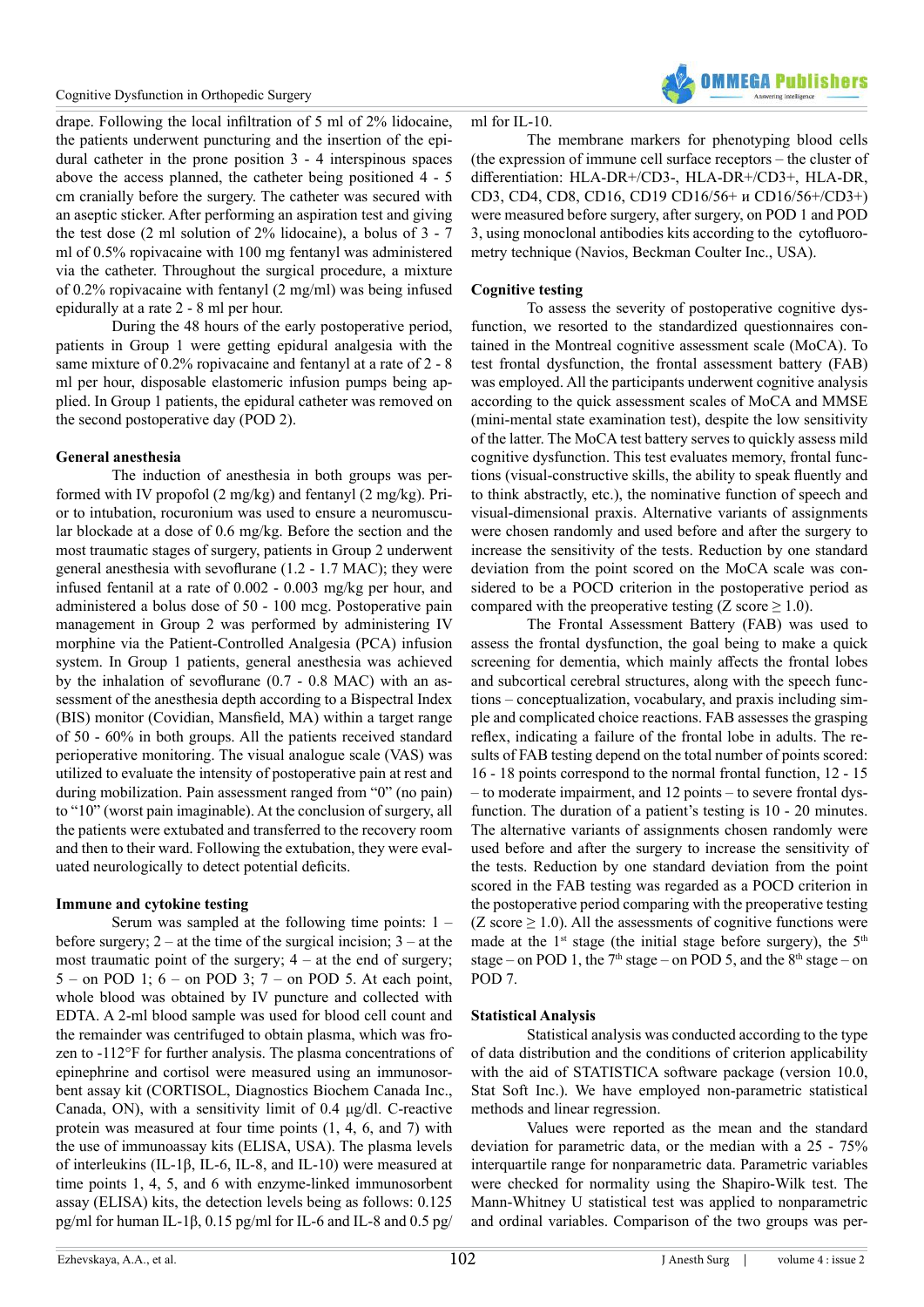drape. Following the local infiltration of 5 ml of 2% lidocaine, the patients underwent puncturing and the insertion of the epidural catheter in the prone position 3 - 4 interspinous spaces above the access planned, the catheter being positioned 4 - 5 cm cranially before the surgery. The catheter was secured with an aseptic sticker. After performing an aspiration test and giving the test dose (2 ml solution of 2% lidocaine), a bolus of 3 - 7 ml of 0.5% ropivacaine with 100 mg fentanyl was administered via the catheter. Throughout the surgical procedure, a mixture of 0.2% ropivacaine with fentanyl (2 mg/ml) was being infused epidurally at a rate 2 - 8 ml per hour.

During the 48 hours of the early postoperative period, patients in Group 1 were getting epidural analgesia with the same mixture of 0.2% ropivacaine and fentanyl at a rate of 2 - 8 ml per hour, disposable elastomeric infusion pumps being applied. In Group 1 patients, the epidural catheter was removed on the second postoperative day (POD 2).

#### **General anesthesia**

The induction of anesthesia in both groups was performed with IV propofol (2 mg/kg) and fentanyl (2 mg/kg). Prior to intubation, rocuronium was used to ensure a neuromuscular blockade at a dose of 0.6 mg/kg. Before the section and the most traumatic stages of surgery, patients in Group 2 underwent general anesthesia with sevoflurane (1.2 - 1.7 MAC); they were infused fentanil at a rate of 0.002 - 0.003 mg/kg per hour, and administered a bolus dose of 50 - 100 mcg. Postoperative pain management in Group 2 was performed by administering IV morphine via the Patient-Controlled Analgesia (PCA) infusion system. In Group 1 patients, general anesthesia was achieved by the inhalation of sevoflurane (0.7 - 0.8 MAC) with an assessment of the anesthesia depth according to a Bispectral Index (BIS) monitor (Covidian, Mansfield, MA) within a target range of 50 - 60% in both groups. All the patients received standard perioperative monitoring. The visual analogue scale (VAS) was utilized to evaluate the intensity of postoperative pain at rest and during mobilization. Pain assessment ranged from "0" (no pain) to "10" (worst pain imaginable). At the conclusion of surgery, all the patients were extubated and transferred to the recovery room and then to their ward. Following the extubation, they were evaluated neurologically to detect potential deficits.

#### **Immune and cytokine testing**

Serum was sampled at the following time points: 1 – before surgery;  $2 - at$  the time of the surgical incision;  $3 - at$  the most traumatic point of the surgery;  $4 - at$  the end of surgery;  $5 -$  on POD 1;  $6 -$  on POD 3;  $7 -$  on POD 5. At each point, whole blood was obtained by IV puncture and collected with EDTA. A 2-ml blood sample was used for blood cell count and the remainder was centrifuged to obtain plasma, which was frozen to -112°F for further analysis. The plasma concentrations of epinephrine and cortisol were measured using an immunosorbent assay kit (CORTISOL, Diagnostics Biochem Canada Inc., Canada, ON), with a sensitivity limit of 0.4 μg/dl. C-reactive protein was measured at four time points (1, 4, 6, and 7) with the use of immunoassay kits (ELISA, USA). The plasma levels of interleukins (IL-1β, IL-6, IL-8, and IL-10) were measured at time points 1, 4, 5, and 6 with enzyme-linked immunosorbent assay (ELISA) kits, the detection levels being as follows: 0.125 pg/ml for human IL-1β, 0.15 pg/ml for IL-6 and IL-8 and 0.5 pg/

#### ml for IL-10.

The membrane markers for phenotyping blood cells (the expression of immune cell surface receptors – the cluster of differentiation: HLA-DR+/CD3-, HLA-DR+/CD3+, HLA-DR, CD3, CD4, CD8, CD16, CD19 CD16/56+ и CD16/56+/CD3+) were measured before surgery, after surgery, on POD 1 and POD 3, using monoclonal antibodies kits according to the cytofluorometry technique (Navios, Beckman Coulter Inc., USA).

#### **Cognitive testing**

To assess the severity of postoperative cognitive dysfunction, we resorted to the standardized questionnaires contained in the Montreal cognitive assessment scale (MoCA). To test frontal dysfunction, the frontal assessment battery (FAB) was employed. All the participants underwent cognitive analysis according to the quick assessment scales of MoCA and MMSE (mini-mental state examination test), despite the low sensitivity of the latter. The MoCA test battery serves to quickly assess mild cognitive dysfunction. This test evaluates memory, frontal functions (visual-constructive skills, the ability to speak fluently and to think abstractly, etc.), the nominative function of speech and visual-dimensional praxis. Alternative variants of assignments were chosen randomly and used before and after the surgery to increase the sensitivity of the tests. Reduction by one standard deviation from the point scored on the MoCA scale was considered to be a POCD criterion in the postoperative period as compared with the preoperative testing (Z score  $\geq$  1.0).

The Frontal Assessment Battery (FAB) was used to assess the frontal dysfunction, the goal being to make a quick screening for dementia, which mainly affects the frontal lobes and subcortical cerebral structures, along with the speech functions – conceptualization, vocabulary, and praxis including simple and complicated choice reactions. FAB assesses the grasping reflex, indicating a failure of the frontal lobe in adults. The results of FAB testing depend on the total number of points scored: 16 - 18 points correspond to the normal frontal function, 12 - 15 – to moderate impairment, and 12 points – to severe frontal dysfunction. The duration of a patient's testing is 10 - 20 minutes. The alternative variants of assignments chosen randomly were used before and after the surgery to increase the sensitivity of the tests. Reduction by one standard deviation from the point scored in the FAB testing was regarded as a POCD criterion in the postoperative period comparing with the preoperative testing (Z score  $\geq$  1.0). All the assessments of cognitive functions were made at the  $1<sup>st</sup>$  stage (the initial stage before surgery), the  $5<sup>th</sup>$ stage – on POD 1, the  $7<sup>th</sup>$  stage – on POD 5, and the  $8<sup>th</sup>$  stage – on POD 7.

#### **Statistical Analysis**

Statistical analysis was conducted according to the type of data distribution and the conditions of criterion applicability with the aid of STATISTICA software package (version 10.0, Stat Soft Inc.). We have employed non-parametric statistical methods and linear regression.

Values were reported as the mean and the standard deviation for parametric data, or the median with a 25 - 75% interquartile range for nonparametric data. Parametric variables were checked for normality using the Shapiro-Wilk test. The Mann-Whitney U statistical test was applied to nonparametric and ordinal variables. Comparison of the two groups was per-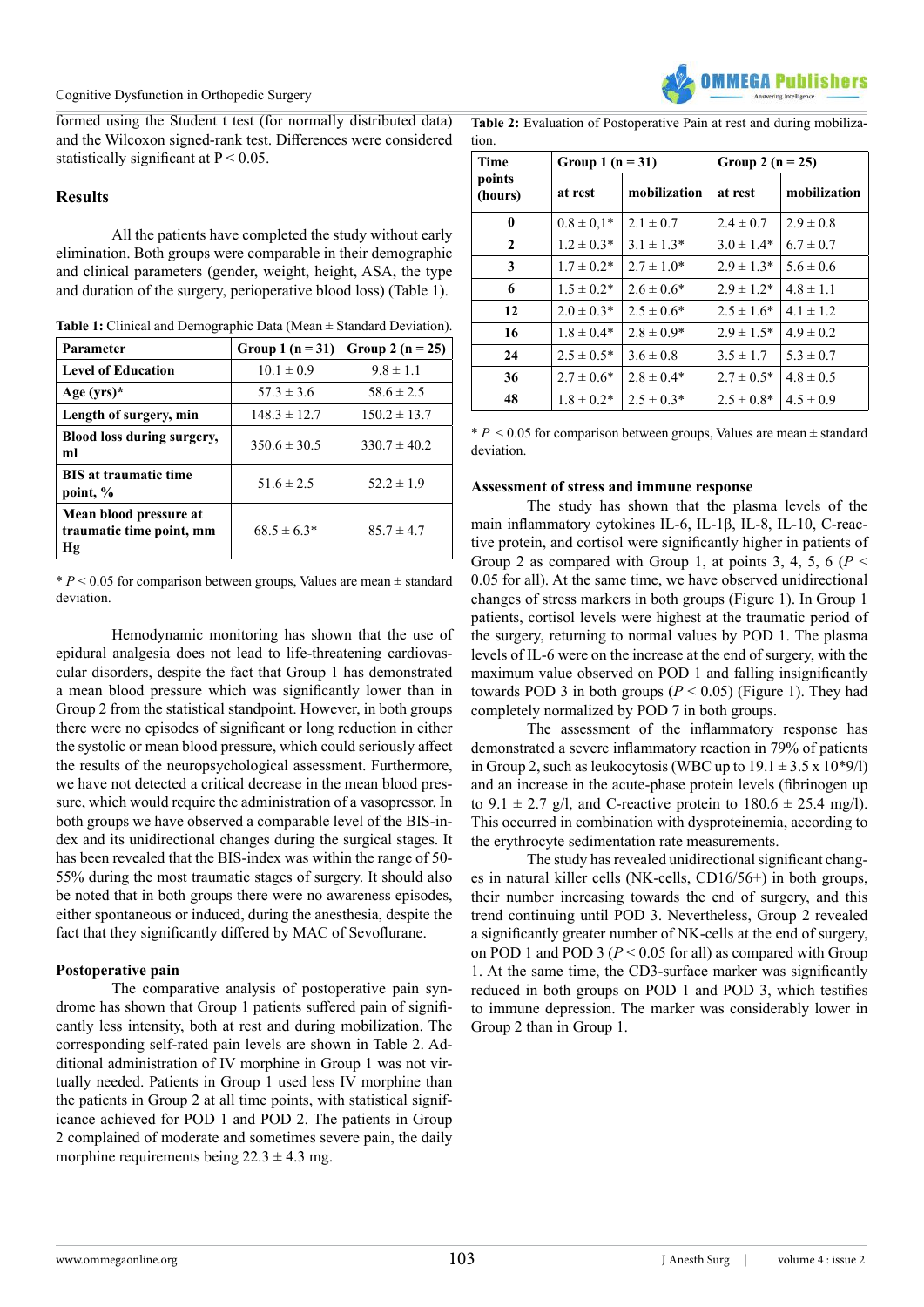

formed using the Student t test (for normally distributed data) and the Wilcoxon signed-rank test. Differences were considered statistically significant at  $P \le 0.05$ .

#### **Results**

All the patients have completed the study without early elimination. Both groups were comparable in their demographic and clinical parameters (gender, weight, height, ASA, the type and duration of the surgery, perioperative blood loss) (Table 1).

| Table 1: Clinical and Demographic Data (Mean $\pm$ Standard Deviation). |  |
|-------------------------------------------------------------------------|--|
|-------------------------------------------------------------------------|--|

| Parameter                                                | Group 1 $(n = 31)$ | Group 2 ( $n = 25$ ) |
|----------------------------------------------------------|--------------------|----------------------|
| <b>Level of Education</b>                                | $10.1 \pm 0.9$     | $9.8 \pm 1.1$        |
| Age $(yrs)^*$                                            | $57.3 \pm 3.6$     | $58.6 \pm 2.5$       |
| Length of surgery, min                                   | $148.3 \pm 12.7$   | $150.2 \pm 13.7$     |
| Blood loss during surgery,<br>ml                         | $350.6 \pm 30.5$   | $330.7 \pm 40.2$     |
| <b>BIS</b> at traumatic time<br>point, %                 | 51.6 $\pm$ 2.5     | $52.2 \pm 1.9$       |
| Mean blood pressure at<br>traumatic time point, mm<br>Hg | $68.5 \pm 6.3*$    | $85.7 \pm 4.7$       |

\* *Р* < 0.05 for comparison between groups, Values are mean ± standard deviation.

Hemodynamic monitoring has shown that the use of epidural analgesia does not lead to life-threatening cardiovascular disorders, despite the fact that Group 1 has demonstrated a mean blood pressure which was significantly lower than in Group 2 from the statistical standpoint. However, in both groups there were no episodes of significant or long reduction in either the systolic or mean blood pressure, which could seriously affect the results of the neuropsychological assessment. Furthermore, we have not detected a critical decrease in the mean blood pressure, which would require the administration of a vasopressor. In both groups we have observed a comparable level of the BIS-index and its unidirectional changes during the surgical stages. It has been revealed that the BIS-index was within the range of 50- 55% during the most traumatic stages of surgery. It should also be noted that in both groups there were no awareness episodes, either spontaneous or induced, during the anesthesia, despite the fact that they significantly differed by MAC of Sevoflurane.

#### **Postoperative pain**

The comparative analysis of postoperative pain syndrome has shown that Group 1 patients suffered pain of significantly less intensity, both at rest and during mobilization. The corresponding self-rated pain levels are shown in Table 2. Additional administration of IV morphine in Group 1 was not virtually needed. Patients in Group 1 used less IV morphine than the patients in Group 2 at all time points, with statistical significance achieved for POD 1 and POD 2. The patients in Group 2 complained of moderate and sometimes severe pain, the daily morphine requirements being  $22.3 \pm 4.3$  mg.

**Table 2:** Evaluation of Postoperative Pain at rest and during mobilization.

| <b>Time</b>       | Group 1 $(n = 31)$ |                 | Group 2 ( $n = 25$ ) |               |
|-------------------|--------------------|-----------------|----------------------|---------------|
| points<br>(hours) | at rest            | mobilization    | at rest              | mobilization  |
| 0                 | $0.8 \pm 0.1*$     | $2.1 \pm 0.7$   | $2.4 \pm 0.7$        | $2.9 \pm 0.8$ |
| $\mathbf{2}$      | $1.2 \pm 0.3*$     | $3.1 \pm 1.3*$  | $3.0 \pm 1.4*$       | $6.7 \pm 0.7$ |
| 3                 | $1.7 \pm 0.2^*$    | $2.7 \pm 1.0^*$ | $2.9 \pm 1.3*$       | $5.6 \pm 0.6$ |
| 6                 | $1.5 \pm 0.2^*$    | $2.6 \pm 0.6^*$ | $2.9 \pm 1.2*$       | $4.8 \pm 1.1$ |
| 12                | $2.0 \pm 0.3*$     | $2.5 \pm 0.6^*$ | $2.5 \pm 1.6^*$      | $4.1 \pm 1.2$ |
| 16                | $1.8 \pm 0.4*$     | $2.8 \pm 0.9*$  | $2.9 \pm 1.5*$       | $4.9 \pm 0.2$ |
| 24                | $2.5 \pm 0.5^*$    | $3.6 \pm 0.8$   | $3.5 \pm 1.7$        | $5.3 \pm 0.7$ |
| 36                | $2.7 \pm 0.6*$     | $2.8 \pm 0.4*$  | $2.7 \pm 0.5*$       | $4.8 \pm 0.5$ |
| 48                | $1.8 \pm 0.2^*$    | $2.5 \pm 0.3*$  | $2.5 \pm 0.8^*$      | $4.5 \pm 0.9$ |

\* *Р* < 0.05 for comparison between groups, Values are mean ± standard deviation.

#### **Assessment of stress and immune response**

The study has shown that the plasma levels of the main inflammatory cytokines IL-6, IL-1β, IL-8, IL-10, C-reactive protein, and cortisol were significantly higher in patients of Group 2 as compared with Group 1, at points 3, 4, 5, 6  $(P <$ 0.05 for all). At the same time, we have observed unidirectional changes of stress markers in both groups (Figure 1). In Group 1 patients, cortisol levels were highest at the traumatic period of the surgery, returning to normal values by POD 1. The plasma levels of IL-6 were on the increase at the end of surgery, with the maximum value observed on POD 1 and falling insignificantly towards POD 3 in both groups  $(P < 0.05)$  (Figure 1). They had completely normalized by POD 7 in both groups.

The assessment of the inflammatory response has demonstrated a severe inflammatory reaction in 79% of patients in Group 2, such as leukocytosis (WBC up to  $19.1 \pm 3.5 \times 10^{*9}$ ) and an increase in the acute-phase protein levels (fibrinogen up to  $9.1 \pm 2.7$  g/l, and C-reactive protein to  $180.6 \pm 25.4$  mg/l). This occurred in combination with dysproteinemia, according to the erythrocyte sedimentation rate measurements.

The study has revealed unidirectional significant changes in natural killer cells (NK-cells, CD16/56+) in both groups, their number increasing towards the end of surgery, and this trend continuing until POD 3. Nevertheless, Group 2 revealed a significantly greater number of NK-cells at the end of surgery, on POD 1 and POD 3 ( $P < 0.05$  for all) as compared with Group 1. At the same time, the CD3-surface marker was significantly reduced in both groups on POD 1 and POD 3, which testifies to immune depression. The marker was considerably lower in Group 2 than in Group 1.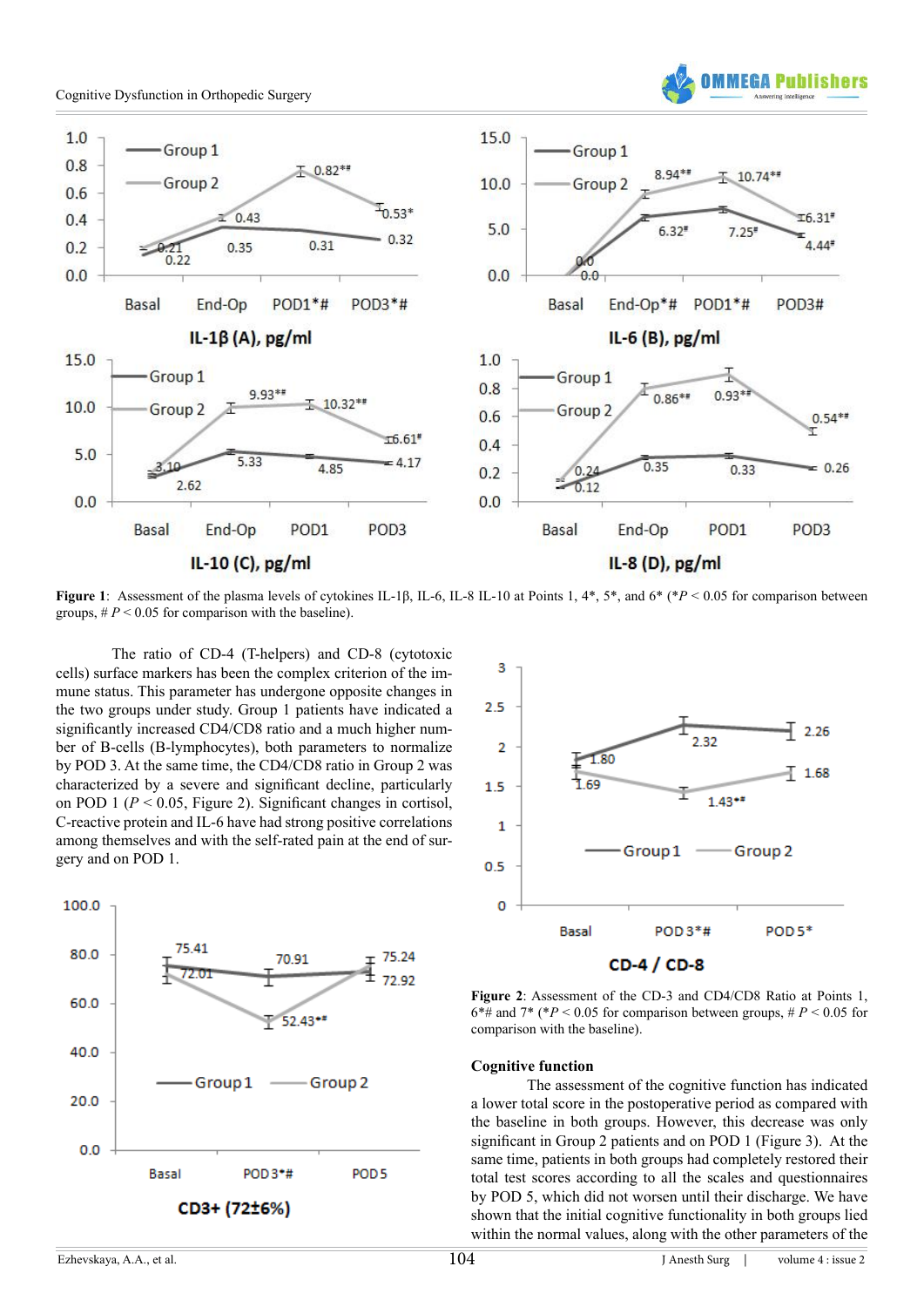



**Figure 1**: Assessment of the plasma levels of cytokines IL-1β, IL-6, IL-8 IL-10 at Points 1, 4\*, 5\*, and 6\* (\**P* < 0.05 for comparison between groups,  $#P < 0.05$  for comparison with the baseline).

The ratio of CD-4 (T-helpers) and CD-8 (cytotoxic cells) surface markers has been the complex criterion of the immune status. This parameter has undergone opposite changes in the two groups under study. Group 1 patients have indicated a significantly increased CD4/CD8 ratio and a much higher number of B-cells (B-lymphocytes), both parameters to normalize by POD 3. At the same time, the CD4/CD8 ratio in Group 2 was characterized by a severe and significant decline, particularly on POD 1 (*P* < 0.05, Figure 2). Significant changes in cortisol, C-reactive protein and IL-6 have had strong positive correlations among themselves and with the self-rated pain at the end of surgery and on POD 1.





**Figure 2**: Assessment of the CD-3 and CD4/CD8 Ratio at Points 1,  $6*$ # and 7\* (\* $P$  < 0.05 for comparison between groups, #  $P$  < 0.05 for comparison with the baseline).

#### **Cognitive function**

The assessment of the cognitive function has indicated a lower total score in the postoperative period as compared with the baseline in both groups. However, this decrease was only significant in Group 2 patients and on POD 1 (Figure 3). At the same time, patients in both groups had completely restored their total test scores according to all the scales and questionnaires by POD 5, which did not worsen until their discharge. We have shown that the initial cognitive functionality in both groups lied within the normal values, along with the other parameters of the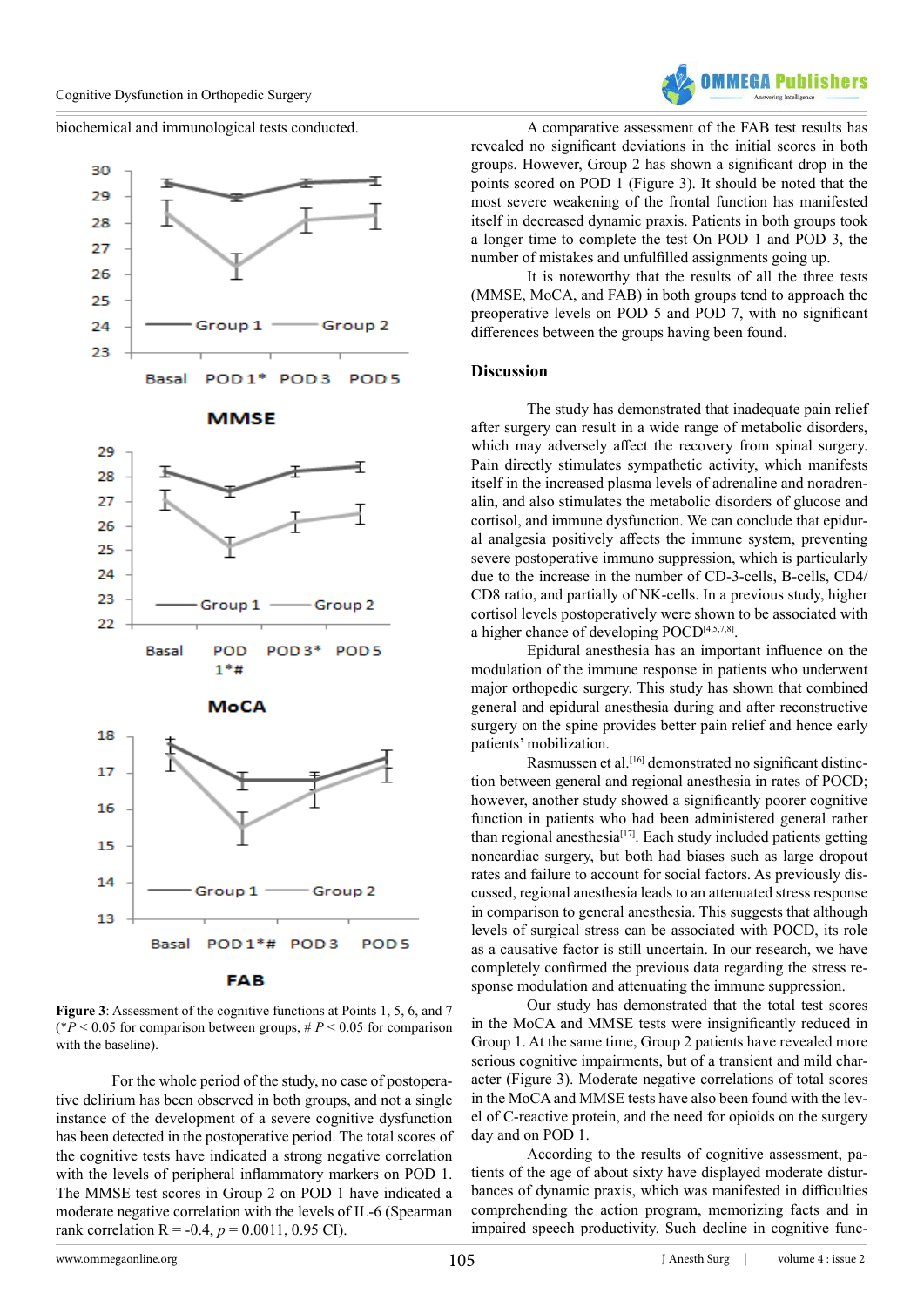

biochemical and immunological tests conducted.









**Figure 3**: Assessment of the cognitive functions at Points 1, 5, 6, and 7 ( $*P < 0.05$  for comparison between groups,  $#P < 0.05$  for comparison with the baseline).

For the whole period of the study, no case of postoperative delirium has been observed in both groups, and not a single instance of the development of a severe cognitive dysfunction has been detected in the postoperative period. The total scores of the cognitive tests have indicated a strong negative correlation with the levels of peripheral inflammatory markers on POD 1. The MMSE test scores in Group 2 on POD 1 have indicated a moderate negative correlation with the levels of IL-6 (Spearman rank correlation R = -0.4,  $p = 0.0011$ , 0.95 CI).

A comparative assessment of the FAB test results has revealed no significant deviations in the initial scores in both groups. However, Group 2 has shown a significant drop in the points scored on POD 1 (Figure 3). It should be noted that the most severe weakening of the frontal function has manifested itself in decreased dynamic praxis. Patients in both groups took a longer time to complete the test On POD 1 and POD 3, the number of mistakes and unfulfilled assignments going up.

It is noteworthy that the results of all the three tests (MMSE, MoCA, and FAB) in both groups tend to approach the preoperative levels on POD 5 and POD 7, with no significant differences between the groups having been found.

#### **Discussion**

The study has demonstrated that inadequate pain relief after surgery can result in a wide range of metabolic disorders, which may adversely affect the recovery from spinal surgery. Pain directly stimulates sympathetic activity, which manifests itself in the increased plasma levels of adrenaline and noradrenalin, and also stimulates the metabolic disorders of glucose and cortisol, and immune dysfunction. We can conclude that epidural analgesia positively affects the immune system, preventing severe postoperative immuno suppression, which is particularly due to the increase in the number of CD-3-cells, B-cells, CD4/ CD8 ratio, and partially of NK-cells. In a previous study, higher cortisol levels postoperatively were shown to be associated with a higher chance of developing POC[D\[4,5,7,8\]](#page-7-1).

Epidural anesthesia has an important influence on the modulation of the immune response in patients who underwent major orthopedic surgery. This study has shown that combined general and epidural anesthesia during and after reconstructive surgery on the spine provides better pain relief and hence early patients' mobilization.

Rasmussen et al.[\[16\]](#page-7-8) demonstrated no significant distinction between general and regional anesthesia in rates of POCD; however, another study showed a significantly poorer cognitive function in patients who had been administered general rather than regional anesthesia<sup>[\[17\]](#page-7-9)</sup>. Each study included patients getting noncardiac surgery, but both had biases such as large dropout rates and failure to account for social factors. As previously discussed, regional anesthesia leads to an attenuated stress response in comparison to general anesthesia. This suggests that although levels of surgical stress can be associated with POCD, its role as a causative factor is still uncertain. In our research, we have completely confirmed the previous data regarding the stress response modulation and attenuating the immune suppression.

Our study has demonstrated that the total test scores in the MoCA and MMSE tests were insignificantly reduced in Group 1. At the same time, Group 2 patients have revealed more serious cognitive impairments, but of a transient and mild character (Figure 3). Moderate negative correlations of total scores in the MoCA and MMSE tests have also been found with the level of C-reactive protein, and the need for opioids on the surgery day and on POD 1.

According to the results of cognitive assessment, patients of the age of about sixty have displayed moderate disturbances of dynamic praxis, which was manifested in difficulties comprehending the action program, memorizing facts and in impaired speech productivity. Such decline in cognitive func-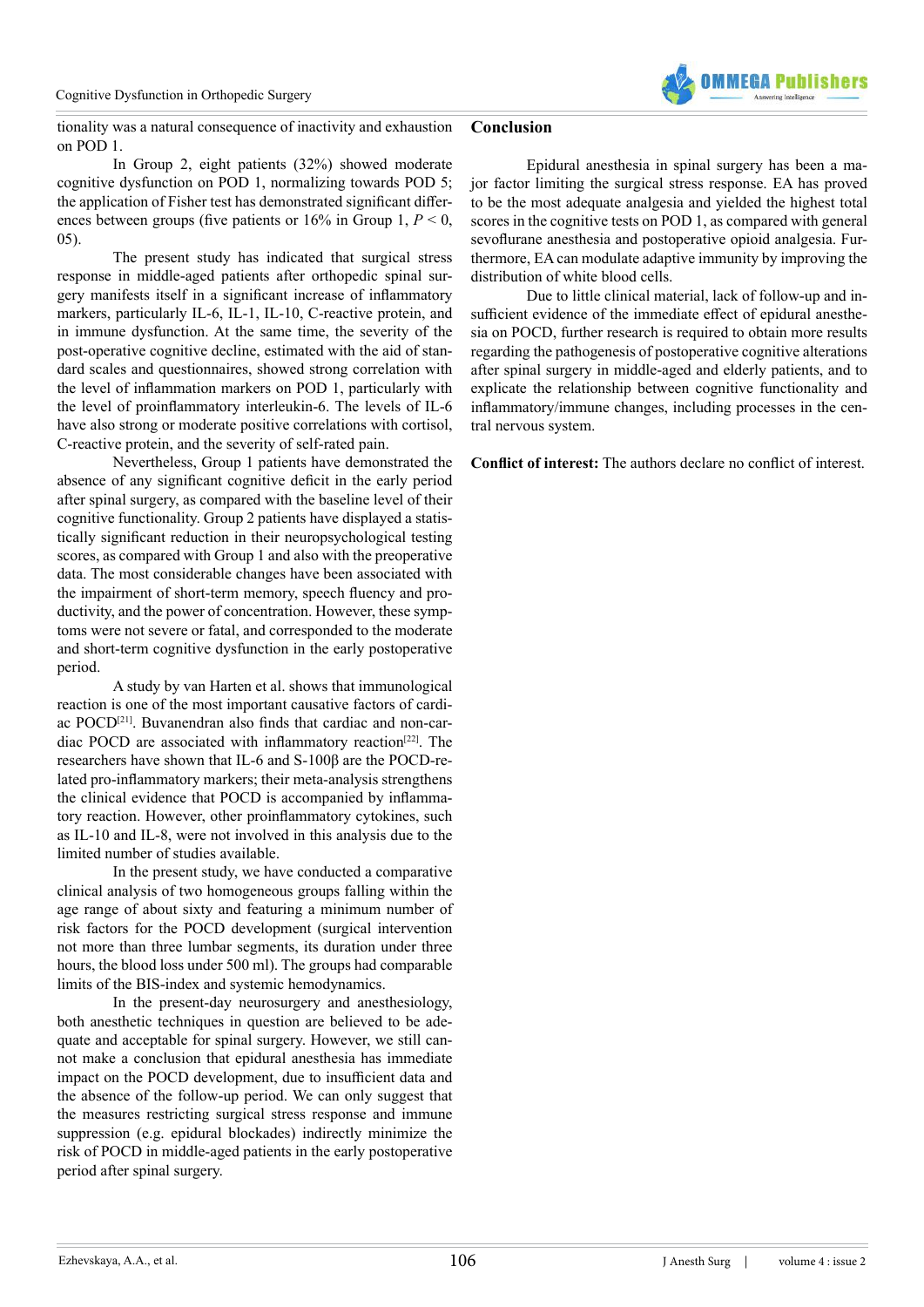

#### tionality was a natural consequence of inactivity and exhaustion on POD 1. **Conclusion**

In Group 2, eight patients (32%) showed moderate cognitive dysfunction on POD 1, normalizing towards POD 5; the application of Fisher test has demonstrated significant differences between groups (five patients or 16% in Group 1, *P* < 0, 05).

The present study has indicated that surgical stress response in middle-aged patients after orthopedic spinal surgery manifests itself in a significant increase of inflammatory markers, particularly IL-6, IL-1, IL-10, C-reactive protein, and in immune dysfunction. At the same time, the severity of the post-operative cognitive decline, estimated with the aid of standard scales and questionnaires, showed strong correlation with the level of inflammation markers on POD 1, particularly with the level of proinflammatory interleukin-6. The levels of IL-6 have also strong or moderate positive correlations with cortisol, C-reactive protein, and the severity of self-rated pain.

Nevertheless, Group 1 patients have demonstrated the absence of any significant cognitive deficit in the early period after spinal surgery, as compared with the baseline level of their cognitive functionality. Group 2 patients have displayed a statistically significant reduction in their neuropsychological testing scores, as compared with Group 1 and also with the preoperative data. The most considerable changes have been associated with the impairment of short-term memory, speech fluency and productivity, and the power of concentration. However, these symptoms were not severe or fatal, and corresponded to the moderate and short-term cognitive dysfunction in the early postoperative period.

A study by van Harten et al. shows that immunological reaction is one of the most important causative factors of cardi-ac POCD<sup>[\[21\]](#page-7-14)</sup>. Buvanendran also finds that cardiac and non-cardiac POCD are associated with inflammatory reaction[\[22\]](#page-7-15). The researchers have shown that IL-6 and S-100β are the POCD-related pro-inflammatory markers; their meta-analysis strengthens the clinical evidence that POCD is accompanied by inflammatory reaction. However, other proinflammatory cytokines, such as IL-10 and IL-8, were not involved in this analysis due to the limited number of studies available.

In the present study, we have conducted a comparative clinical analysis of two homogeneous groups falling within the age range of about sixty and featuring a minimum number of risk factors for the POCD development (surgical intervention not more than three lumbar segments, its duration under three hours, the blood loss under 500 ml). The groups had comparable limits of the BIS-index and systemic hemodynamics.

In the present-day neurosurgery and anesthesiology, both anesthetic techniques in question are believed to be adequate and acceptable for spinal surgery. However, we still cannot make a conclusion that epidural anesthesia has immediate impact on the POCD development, due to insufficient data and the absence of the follow-up period. We can only suggest that the measures restricting surgical stress response and immune suppression (e.g. epidural blockades) indirectly minimize the risk of POCD in middle-aged patients in the early postoperative period after spinal surgery.

Epidural anesthesia in spinal surgery has been a major factor limiting the surgical stress response. EA has proved to be the most adequate analgesia and yielded the highest total scores in the cognitive tests on POD 1, as compared with general sevoflurane anesthesia and postoperative opioid analgesia. Furthermore, EA can modulate adaptive immunity by improving the distribution of white blood cells.

Due to little clinical material, lack of follow-up and insufficient evidence of the immediate effect of epidural anesthesia on POCD, further research is required to obtain more results regarding the pathogenesis of postoperative cognitive alterations after spinal surgery in middle-aged and elderly patients, and to explicate the relationship between cognitive functionality and inflammatory/immune changes, including processes in the central nervous system.

**Conflict of interest:** The authors declare no conflict of interest.